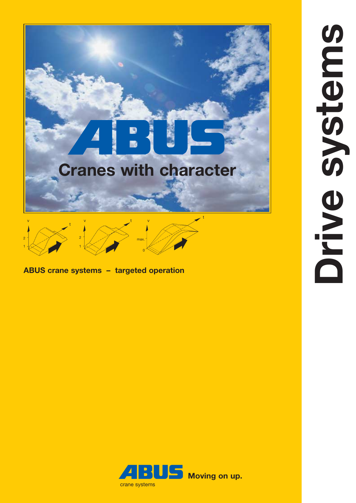



**ABUS crane systems – targeted operation**

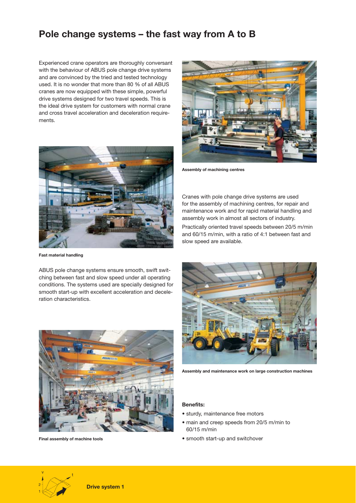# **Pole change systems – the fast way from A to B**

Experienced crane operators are thoroughly conversant with the behaviour of ABUS pole change drive systems and are convinced by the tried and tested technology used. It is no wonder that more than 80 % of all ABUS cranes are now equipped with these simple, powerful drive systems designed for two travel speeds. This is the ideal drive system for customers with normal crane and cross travel acceleration and deceleration requirements.



**Fast material handling**

ABUS pole change systems ensure smooth, swift switching between fast and slow speed under all operating conditions. The systems used are specially designed for smooth start-up with excellent acceleration and deceleration characteristics.



**Final assembly of machine tools**



**Assembly of machining centres**

Cranes with pole change drive systems are used for the assembly of machining centres, for repair and maintenance work and for rapid material handling and assembly work in almost all sectors of industry.

Practically oriented travel speeds between 20/5 m/min and 60/15 m/min, with a ratio of 4:1 between fast and slow speed are available.



**Assembly and maintenance work on large construction machines**

### **Benefits:**

- sturdy, maintenance free motors
- main and creep speeds from 20/5 m/min to 60/15 m/min
- smooth start-up and switchover

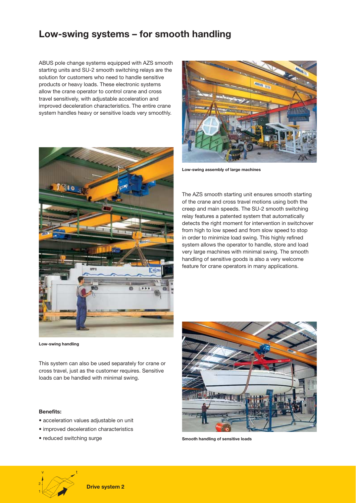# **Low-swing systems – for smooth handling**

ABUS pole change systems equipped with AZS smooth starting units and SU-2 smooth switching relays are the solution for customers who need to handle sensitive products or heavy loads. These electronic systems allow the crane operator to control crane and cross travel sensitively, with adjustable acceleration and improved deceleration characteristics. The entire crane system handles heavy or sensitive loads very smoothly.



**Low-swing handling**

This system can also be used separately for crane or cross travel, just as the customer requires. Sensitive loads can be handled with minimal swing.

#### **Benefits:**

- acceleration values adjustable on unit
- improved deceleration characteristics
- reduced switching surge

t



**Low-swing assembly of large machines**

The AZS smooth starting unit ensures smooth starting of the crane and cross travel motions using both the creep and main speeds. The SU-2 smooth switching relay features a patented system that automatically detects the right moment for intervention in switchover from high to low speed and from slow speed to stop in order to minimize load swing. This highly refined system allows the operator to handle, store and load very large machines with minimal swing. The smooth handling of sensitive goods is also a very welcome feature for crane operators in many applications.



**Smooth handling of sensitive loads**

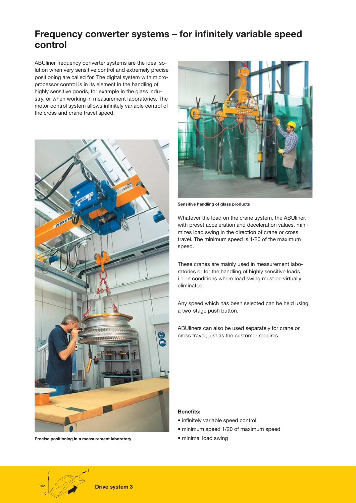## **Frequency converter systems – for infinitely variable speed control**

ABUliner frequency converter systems are the ideal solution when very sensitive control and extremely precise positioning are called for. The digital system with microprocessor control is in its element in the handling of highly sensitive goods, for example in the glass industry, or when working in measurement laboratories. The motor control system allows infinitely variable control of the cross and crane travel speed.



**Precise positioning in a measurement laboratory**



**Sensitive handling of glass products**

Whatever the load on the crane system, the ABUliner, with preset acceleration and deceleration values, minimizes load swing in the direction of crane or cross travel. The minimum speed is 1/20 of the maximum speed.

These cranes are mainly used in measurement laboratories or for the handling of highly sensitive loads, i.e. in conditions where load swing must be virtually eliminated.

Any speed which has been selected can be held using a two-stage push button.

ABUliners can also be used separately for crane or cross travel, just as the customer requires.

### **Benefits:**

- infinitely variable speed control
- minimum speed 1/20 of maximum speed
- minimal load swing

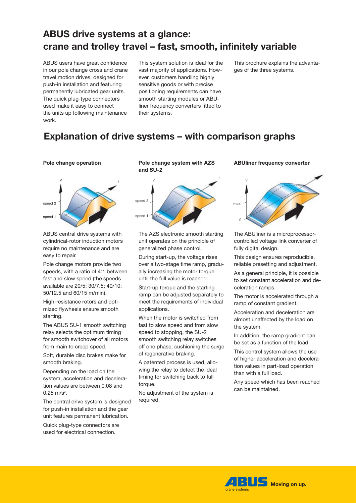# **ABUS drive systems at a glance: crane and trolley travel – fast, smooth, infinitely variable**

ABUS users have great confidence in our pole change cross and crane travel motion drives, designed for push-in installation and featuring permanently lubricated gear units. The quick plug-type connectors used make it easy to connect the units up following maintenance work.

This system solution is ideal for the vast majority of applications. However, customers handling highly sensitive goods or with precise positioning requirements can have smooth starting modules or ABUliner frequency converters fitted to their systems.

This brochure explains the advantages of the three systems.

# **Explanation of drive systems – with comparison graphs**



ABUS central drive systems with cylindrical-rotor induction motors require no maintenance and are easy to repair.

Pole change motors provide two speeds, with a ratio of 4:1 between fast and slow speed (the speeds available are 20/5; 30/7.5; 40/10; 50/12.5 and 60/15 m/min).

High-resistance rotors and optimized flywheels ensure smooth starting.

The ABUS SU-1 smooth switching relay selects the optimum timing for smooth switchover of all motors from main to creep speed.

Soft, durable disc brakes make for smooth braking.

Depending on the load on the system, acceleration and deceleration values are between 0.08 and  $0.25 \text{ m/s}^2$ .

The central drive system is designed for push-in installation and the gear unit features permanent lubrication.

Quick plug-type connectors are used for electrical connection.

### **Pole change operation Pole change system with AZS and SU-2**



The AZS electronic smooth starting unit operates on the principle of generalized phase control.

During start-up, the voltage rises over a two-stage time ramp, gradually increasing the motor torque until the full value is reached.

Start-up torque and the starting ramp can be adjusted separately to meet the requirements of individual applications.

When the motor is switched from fast to slow speed and from slow speed to stopping, the SU-2 smooth switching relay switches off one phase, cushioning the surge of regenerative braking.

A patented process is used, allowing the relay to detect the ideal timing for switching back to full torque

No adjustment of the system is required.

#### **ABUliner frequency converter**



The ABUliner is a microprocessorcontrolled voltage link converter of fully digital design.

This design ensures reproducible, reliable presetting and adjustment.

As a general principle, it is possible to set constant acceleration and deceleration ramps.

The motor is accelerated through a ramp of constant gradient.

Acceleration and deceleration are almost unaffected by the load on the system.

In addition, the ramp gradient can be set as a function of the load.

This control system allows the use of higher acceleration and deceleration values in part-load operation than with a full load.

Any speed which has been reached can be maintained.